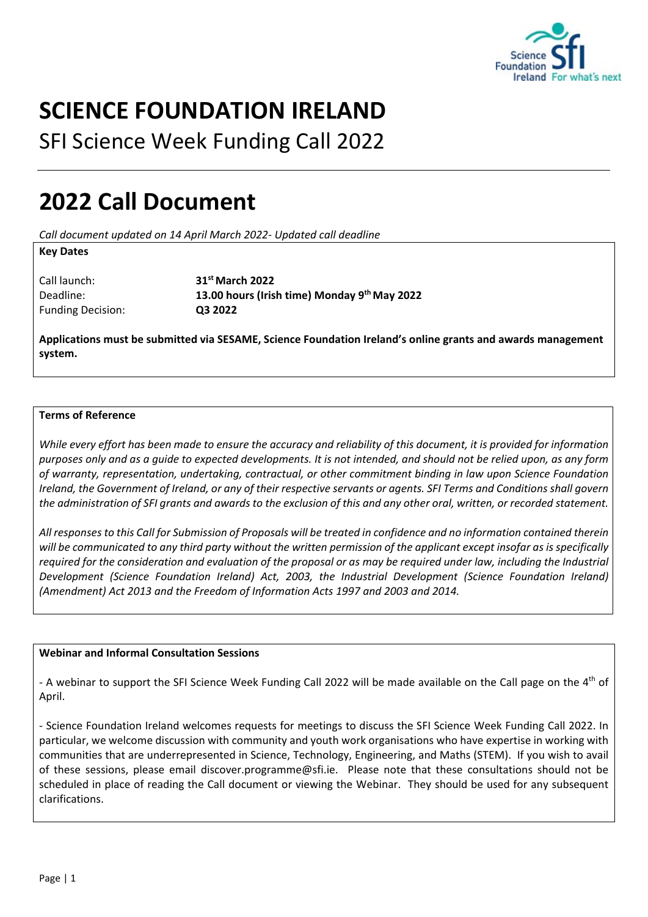

# **SCIENCE FOUNDATION IRELAND**

SFI Science Week Funding Call 2022

## **2022 Call Document**

*Call document updated on 14 April March 2022- Updated call deadline*

## **Key Dates**

Call launch: 31<sup>st</sup> March 2022 Funding Decision: **Q3 2022**

Deadline: **13.00 hours (Irish time) Monday 9th May 2022** 

**Applications must be submitted via SESAME, Science Foundation Ireland's online grants and awards management system.** 

## **Terms of Reference**

*While every effort has been made to ensure the accuracy and reliability of this document, it is provided for information purposes only and as a guide to expected developments. It is not intended, and should not be relied upon, as any form of warranty, representation, undertaking, contractual, or other commitment binding in law upon Science Foundation Ireland, the Government of Ireland, or any of their respective servants or agents. SFI Terms and Conditions shall govern the administration of SFI grants and awards to the exclusion of this and any other oral, written, or recorded statement.* 

*All responses to this Call for Submission of Proposals will be treated in confidence and no information contained therein will be communicated to any third party without the written permission of the applicant except insofar as is specifically required for the consideration and evaluation of the proposal or as may be required under law, including the Industrial Development (Science Foundation Ireland) Act, 2003, the Industrial Development (Science Foundation Ireland) (Amendment) Act 2013 and the Freedom of Information Acts 1997 and 2003 and 2014.* 

## **Webinar and Informal Consultation Sessions**

- A webinar to support the SFI Science Week Funding Call 2022 will be made available on the Call page on the 4<sup>th</sup> of April.

- Science Foundation Ireland welcomes requests for meetings to discuss the SFI Science Week Funding Call 2022. In particular, we welcome discussion with community and youth work organisations who have expertise in working with communities that are underrepresented in Science, Technology, Engineering, and Maths (STEM). If you wish to avail of these sessions, please email discover.programme@sfi.ie. Please note that these consultations should not be scheduled in place of reading the Call document or viewing the Webinar. They should be used for any subsequent clarifications.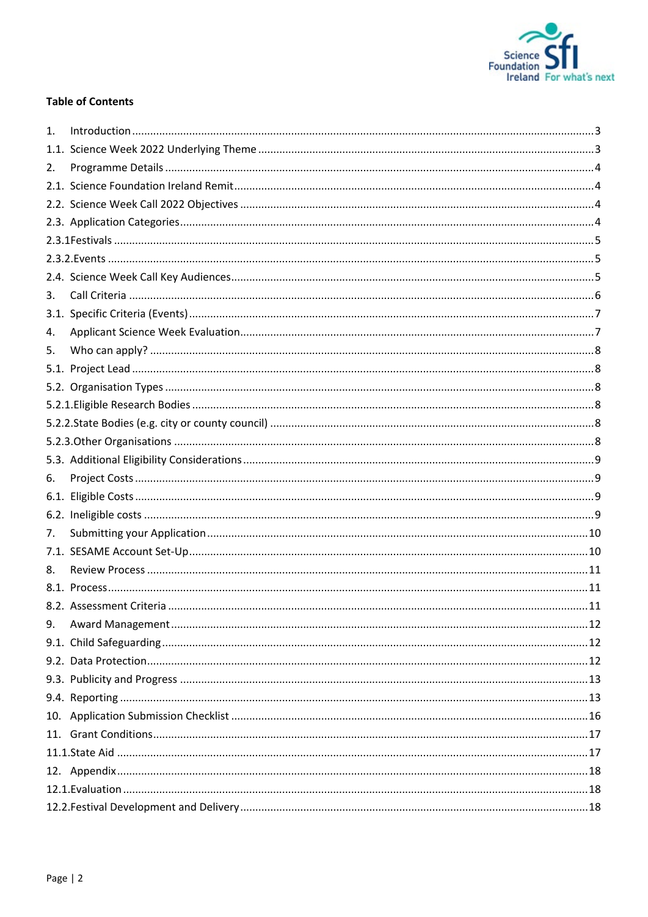

## **Table of Contents**

| 1.   |  |  |  |  |
|------|--|--|--|--|
|      |  |  |  |  |
| 2.   |  |  |  |  |
|      |  |  |  |  |
|      |  |  |  |  |
|      |  |  |  |  |
|      |  |  |  |  |
|      |  |  |  |  |
|      |  |  |  |  |
| 3.   |  |  |  |  |
| 3.1. |  |  |  |  |
| 4.   |  |  |  |  |
| 5.   |  |  |  |  |
|      |  |  |  |  |
|      |  |  |  |  |
|      |  |  |  |  |
|      |  |  |  |  |
|      |  |  |  |  |
|      |  |  |  |  |
| 6.   |  |  |  |  |
| 6.1. |  |  |  |  |
| 6.2. |  |  |  |  |
| 7.   |  |  |  |  |
|      |  |  |  |  |
| 8.   |  |  |  |  |
|      |  |  |  |  |
|      |  |  |  |  |
| 9.   |  |  |  |  |
|      |  |  |  |  |
|      |  |  |  |  |
|      |  |  |  |  |
|      |  |  |  |  |
|      |  |  |  |  |
|      |  |  |  |  |
|      |  |  |  |  |
|      |  |  |  |  |
|      |  |  |  |  |
|      |  |  |  |  |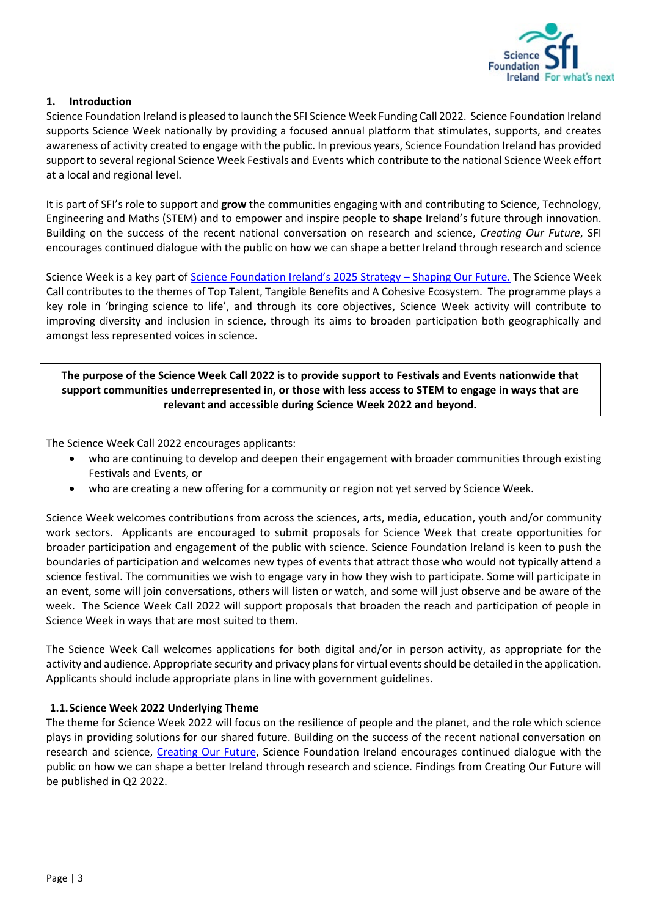

## <span id="page-2-0"></span>**1. Introduction**

Science Foundation Ireland is pleased to launch the SFI Science Week Funding Call 2022. Science Foundation Ireland supports Science Week nationally by providing a focused annual platform that stimulates, supports, and creates awareness of activity created to engage with the public. In previous years, Science Foundation Ireland has provided support to several regional Science Week Festivals and Events which contribute to the national Science Week effort at a local and regional level.

It is part of SFI's role to support and **grow** the communities engaging with and contributing to Science, Technology, Engineering and Maths (STEM) and to empower and inspire people to **shape** Ireland's future through innovation. Building on the success of the recent national conversation on research and science, *Creating Our Future*, SFI encourages continued dialogue with the public on how we can shape a better Ireland through research and science

Science Week is a key part of Science Foundation Ireland's [2025 Strategy – Shaping Our Future.](https://www.sfi.ie/strategy/index.xml) The Science Week Call contributes to the themes of Top Talent, Tangible Benefits and A Cohesive Ecosystem. The programme plays a key role in 'bringing science to life', and through its core objectives, Science Week activity will contribute to improving diversity and inclusion in science, through its aims to broaden participation both geographically and amongst less represented voices in science.

**The purpose of the Science Week Call 2022 is to provide support to Festivals and Events nationwide that support communities underrepresented in, or those with less access to STEM to engage in ways that are relevant and accessible during Science Week 2022 and beyond.**

The Science Week Call 2022 encourages applicants:

- who are continuing to develop and deepen their engagement with broader communities through existing Festivals and Events, or
- who are creating a new offering for a community or region not yet served by Science Week.

Science Week welcomes contributions from across the sciences, arts, media, education, youth and/or community work sectors. Applicants are encouraged to submit proposals for Science Week that create opportunities for broader participation and engagement of the public with science. Science Foundation Ireland is keen to push the boundaries of participation and welcomes new types of events that attract those who would not typically attend a science festival. The communities we wish to engage vary in how they wish to participate. Some will participate in an event, some will join conversations, others will listen or watch, and some will just observe and be aware of the week. The Science Week Call 2022 will support proposals that broaden the reach and participation of people in Science Week in ways that are most suited to them.

The Science Week Call welcomes applications for both digital and/or in person activity, as appropriate for the activity and audience. Appropriate security and privacy plans for virtual events should be detailed in the application. Applicants should include appropriate plans in line with government guidelines.

## <span id="page-2-1"></span>**1.1.Science Week 2022 Underlying Theme**

The theme for Science Week 2022 will focus on the resilience of people and the planet, and the role which science plays in providing solutions for our shared future. Building on the success of the recent national conversation on research and science, [Creating Our Future,](http://www.creatingourfuture.ie/) Science Foundation Ireland encourages continued dialogue with the public on how we can shape a better Ireland through research and science. Findings from Creating Our Future will be published in Q2 2022.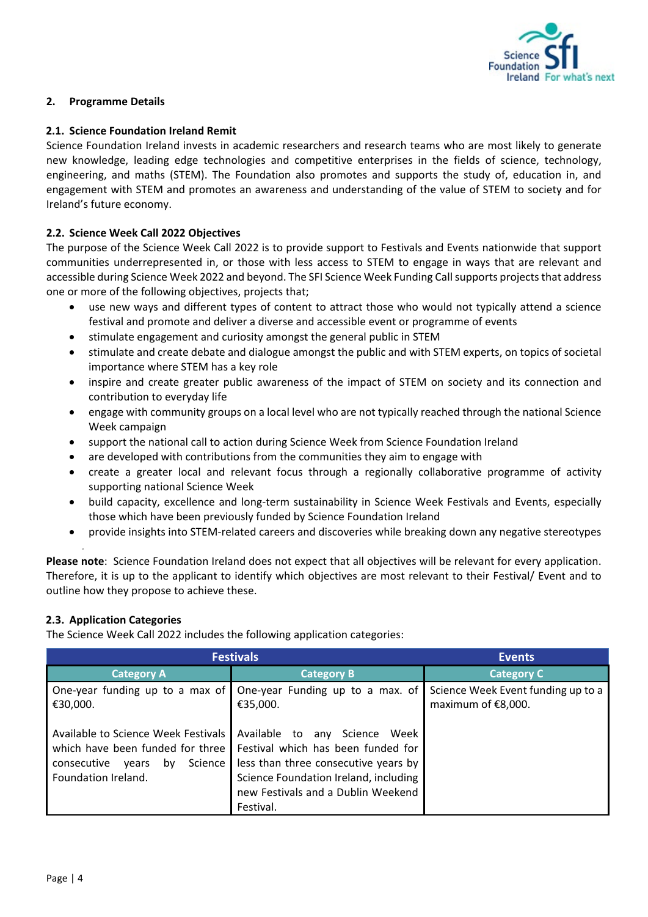

## <span id="page-3-0"></span>**2. Programme Details**

## <span id="page-3-1"></span>**2.1. Science Foundation Ireland Remit**

Science Foundation Ireland invests in academic researchers and research teams who are most likely to generate new knowledge, leading edge technologies and competitive enterprises in the fields of science, technology, engineering, and maths (STEM). The Foundation also promotes and supports the study of, education in, and engagement with STEM and promotes an awareness and understanding of the value of STEM to society and for Ireland's future economy.

## <span id="page-3-2"></span>**2.2. Science Week Call 2022 Objectives**

The purpose of the Science Week Call 2022 is to provide support to Festivals and Events nationwide that support communities underrepresented in, or those with less access to STEM to engage in ways that are relevant and accessible during Science Week 2022 and beyond. The SFI Science Week Funding Call supports projects that address one or more of the following objectives, projects that;

- use new ways and different types of content to attract those who would not typically attend a science festival and promote and deliver a diverse and accessible event or programme of events
- stimulate engagement and curiosity amongst the general public in STEM
- stimulate and create debate and dialogue amongst the public and with STEM experts, on topics of societal importance where STEM has a key role
- inspire and create greater public awareness of the impact of STEM on society and its connection and contribution to everyday life
- engage with community groups on a local level who are not typically reached through the national Science Week campaign
- support the national call to action during Science Week from Science Foundation Ireland
- are developed with contributions from the communities they aim to engage with
- create a greater local and relevant focus through a regionally collaborative programme of activity supporting national Science Week
- build capacity, excellence and long-term sustainability in Science Week Festivals and Events, especially those which have been previously funded by Science Foundation Ireland
- provide insights into STEM-related careers and discoveries while breaking down any negative stereotypes

**Please note**: Science Foundation Ireland does not expect that all objectives will be relevant for every application. Therefore, it is up to the applicant to identify which objectives are most relevant to their Festival/ Event and to outline how they propose to achieve these.

## <span id="page-3-3"></span>**2.3. Application Categories**

The Science Week Call 2022 includes the following application categories:

| <b>Festivals</b>                                                                                                                        | <b>Events</b>                                                                                                                                                                                              |                                                          |
|-----------------------------------------------------------------------------------------------------------------------------------------|------------------------------------------------------------------------------------------------------------------------------------------------------------------------------------------------------------|----------------------------------------------------------|
| <b>Category A</b>                                                                                                                       | <b>Category B</b>                                                                                                                                                                                          | <b>Category C</b>                                        |
| One-year funding up to a max of<br>€30,000.                                                                                             | One-year Funding up to a max. of<br>€35,000.                                                                                                                                                               | Science Week Event funding up to a<br>maximum of €8,000. |
| Available to Science Week Festivals<br>which have been funded for three<br>Science<br>consecutive<br>by<br>vears<br>Foundation Ireland. | Available to any Science<br>Week<br>Festival which has been funded for<br>less than three consecutive years by<br>Science Foundation Ireland, including<br>new Festivals and a Dublin Weekend<br>Festival. |                                                          |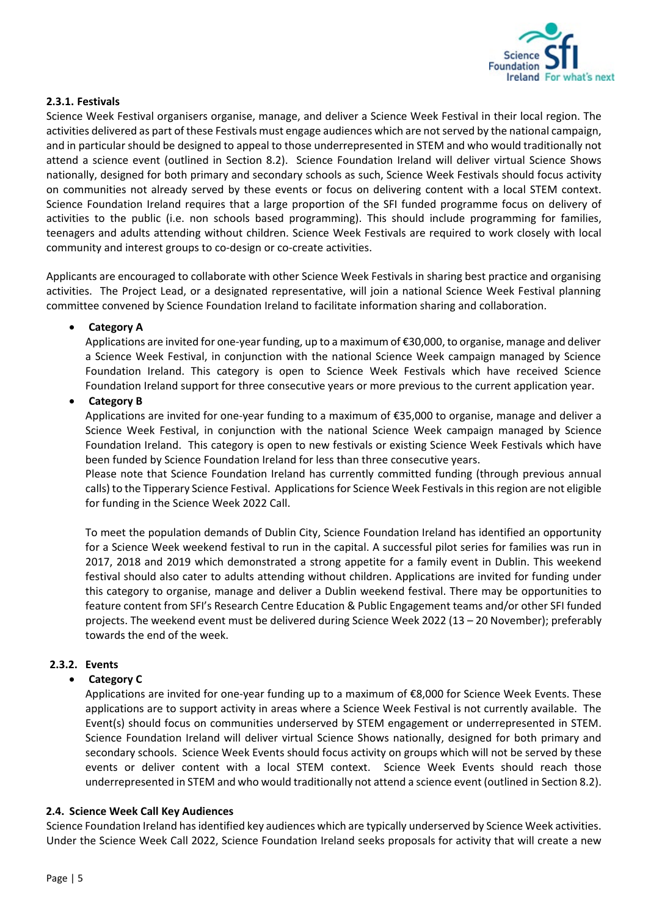

## <span id="page-4-0"></span>**2.3.1. Festivals**

Science Week Festival organisers organise, manage, and deliver a Science Week Festival in their local region. The activities delivered as part of these Festivals must engage audiences which are not served by the national campaign, and in particular should be designed to appeal to those underrepresented in STEM and who would traditionally not attend a science event (outlined in Section 8.2). Science Foundation Ireland will deliver virtual Science Shows nationally, designed for both primary and secondary schools as such, Science Week Festivals should focus activity on communities not already served by these events or focus on delivering content with a local STEM context. Science Foundation Ireland requires that a large proportion of the SFI funded programme focus on delivery of activities to the public (i.e. non schools based programming). This should include programming for families, teenagers and adults attending without children. Science Week Festivals are required to work closely with local community and interest groups to co-design or co-create activities.

Applicants are encouraged to collaborate with other Science Week Festivals in sharing best practice and organising activities. The Project Lead, or a designated representative, will join a national Science Week Festival planning committee convened by Science Foundation Ireland to facilitate information sharing and collaboration.

## • **Category A**

Applications are invited for one-year funding, up to a maximum of €30,000, to organise, manage and deliver a Science Week Festival, in conjunction with the national Science Week campaign managed by Science Foundation Ireland. This category is open to Science Week Festivals which have received Science Foundation Ireland support for three consecutive years or more previous to the current application year.

## • **Category B**

Applications are invited for one-year funding to a maximum of €35,000 to organise, manage and deliver a Science Week Festival, in conjunction with the national Science Week campaign managed by Science Foundation Ireland. This category is open to new festivals or existing Science Week Festivals which have been funded by Science Foundation Ireland for less than three consecutive years.

Please note that Science Foundation Ireland has currently committed funding (through previous annual calls) to the Tipperary Science Festival. Applications for Science Week Festivals in this region are not eligible for funding in the Science Week 2022 Call.

To meet the population demands of Dublin City, Science Foundation Ireland has identified an opportunity for a Science Week weekend festival to run in the capital. A successful pilot series for families was run in 2017, 2018 and 2019 which demonstrated a strong appetite for a family event in Dublin. This weekend festival should also cater to adults attending without children. Applications are invited for funding under this category to organise, manage and deliver a Dublin weekend festival. There may be opportunities to feature content from SFI's Research Centre Education & Public Engagement teams and/or other SFI funded projects. The weekend event must be delivered during Science Week 2022 (13 – 20 November); preferably towards the end of the week.

## <span id="page-4-1"></span>**2.3.2. Events**

## • **Category C**

Applications are invited for one-year funding up to a maximum of €8,000 for Science Week Events. These applications are to support activity in areas where a Science Week Festival is not currently available. The Event(s) should focus on communities underserved by STEM engagement or underrepresented in STEM. Science Foundation Ireland will deliver virtual Science Shows nationally, designed for both primary and secondary schools. Science Week Events should focus activity on groups which will not be served by these events or deliver content with a local STEM context. Science Week Events should reach those underrepresented in STEM and who would traditionally not attend a science event (outlined in Section 8.2).

## <span id="page-4-2"></span>**2.4. Science Week Call Key Audiences**

Science Foundation Ireland has identified key audiences which are typically underserved by Science Week activities. Under the Science Week Call 2022, Science Foundation Ireland seeks proposals for activity that will create a new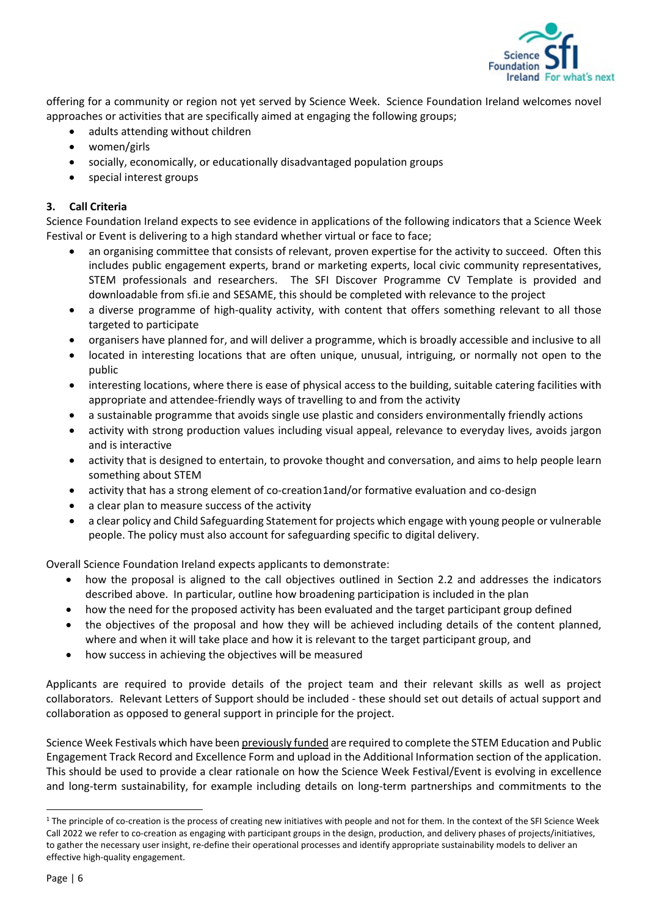

offering for a community or region not yet served by Science Week. Science Foundation Ireland welcomes novel approaches or activities that are specifically aimed at engaging the following groups;

- adults attending without children
- women/girls
- socially, economically, or educationally disadvantaged population groups
- special interest groups

## <span id="page-5-0"></span>**3. Call Criteria**

Science Foundation Ireland expects to see evidence in applications of the following indicators that a Science Week Festival or Event is delivering to a high standard whether virtual or face to face;

- an organising committee that consists of relevant, proven expertise for the activity to succeed. Often this includes public engagement experts, brand or marketing experts, local civic community representatives, STEM professionals and researchers. The SFI Discover Programme CV Template is provided and downloadable from sfi.ie and SESAME, this should be completed with relevance to the project
- a diverse programme of high-quality activity, with content that offers something relevant to all those targeted to participate
- organisers have planned for, and will deliver a programme, which is broadly accessible and inclusive to all
- located in interesting locations that are often unique, unusual, intriguing, or normally not open to the public
- interesting locations, where there is ease of physical access to the building, suitable catering facilities with appropriate and attendee-friendly ways of travelling to and from the activity
- a sustainable programme that avoids single use plastic and considers environmentally friendly actions
- activity with strong production values including visual appeal, relevance to everyday lives, avoids jargon and is interactive
- activity that is designed to entertain, to provoke thought and conversation, and aims to help people learn something about STEM
- activity that has a strong element of co-creation[1](#page-5-1)and/or formative evaluation and co-design
- a clear plan to measure success of the activity
- a clear policy and Child Safeguarding Statement for projects which engage with young people or vulnerable people. The policy must also account for safeguarding specific to digital delivery.

Overall Science Foundation Ireland expects applicants to demonstrate:

- how the proposal is aligned to the call objectives outlined in Section 2.2 and addresses the indicators described above. In particular, outline how broadening participation is included in the plan
- how the need for the proposed activity has been evaluated and the target participant group defined
- the objectives of the proposal and how they will be achieved including details of the content planned, where and when it will take place and how it is relevant to the target participant group, and
- how success in achieving the objectives will be measured

Applicants are required to provide details of the project team and their relevant skills as well as project collaborators. Relevant Letters of Support should be included - these should set out details of actual support and collaboration as opposed to general support in principle for the project.

Science Week Festivals which have been previously funded are required to complete the STEM Education and Public Engagement Track Record and Excellence Form and upload in the Additional Information section of the application. This should be used to provide a clear rationale on how the Science Week Festival/Event is evolving in excellence and long-term sustainability, for example including details on long-term partnerships and commitments to the

<span id="page-5-1"></span><sup>&</sup>lt;sup>1</sup> The principle of co-creation is the process of creating new initiatives with people and not for them. In the context of the SFI Science Week Call 2022 we refer to co-creation as engaging with participant groups in the design, production, and delivery phases of projects/initiatives, to gather the necessary user insight, re-define their operational processes and identify appropriate sustainability models to deliver an effective high-quality engagement.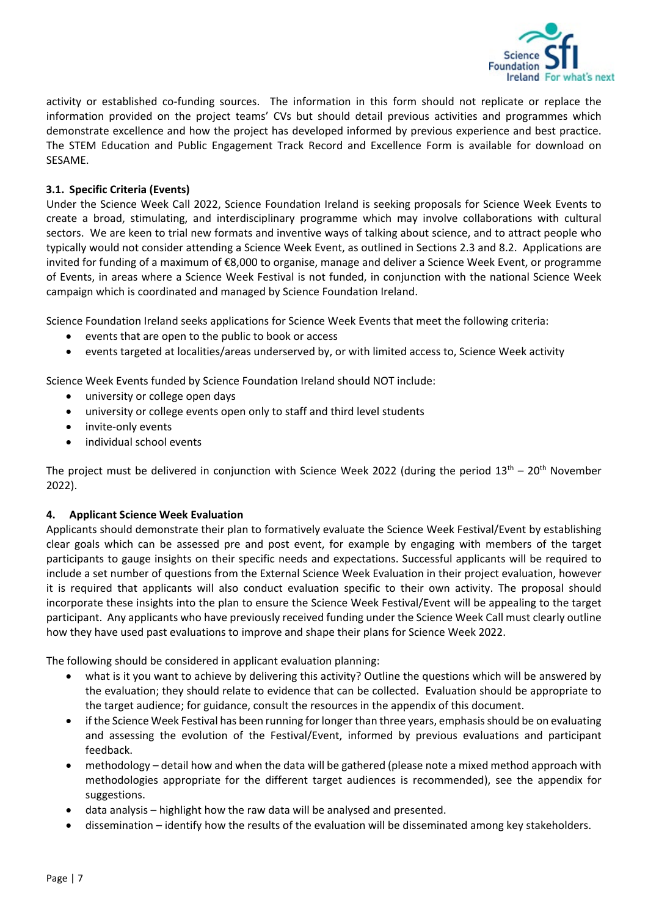

activity or established co-funding sources. The information in this form should not replicate or replace the information provided on the project teams' CVs but should detail previous activities and programmes which demonstrate excellence and how the project has developed informed by previous experience and best practice. The STEM Education and Public Engagement Track Record and Excellence Form is available for download on SESAME.

## <span id="page-6-0"></span>**3.1. Specific Criteria (Events)**

Under the Science Week Call 2022, Science Foundation Ireland is seeking proposals for Science Week Events to create a broad, stimulating, and interdisciplinary programme which may involve collaborations with cultural sectors. We are keen to trial new formats and inventive ways of talking about science, and to attract people who typically would not consider attending a Science Week Event, as outlined in Sections 2.3 and 8.2. Applications are invited for funding of a maximum of €8,000 to organise, manage and deliver a Science Week Event, or programme of Events, in areas where a Science Week Festival is not funded, in conjunction with the national Science Week campaign which is coordinated and managed by Science Foundation Ireland.

Science Foundation Ireland seeks applications for Science Week Events that meet the following criteria:

- events that are open to the public to book or access
- events targeted at localities/areas underserved by, or with limited access to, Science Week activity

Science Week Events funded by Science Foundation Ireland should NOT include:

- university or college open days
- university or college events open only to staff and third level students
- invite-only events
- individual school events

The project must be delivered in conjunction with Science Week 2022 (during the period  $13<sup>th</sup> - 20<sup>th</sup>$  November 2022).

## <span id="page-6-1"></span>**4. Applicant Science Week Evaluation**

Applicants should demonstrate their plan to formatively evaluate the Science Week Festival/Event by establishing clear goals which can be assessed pre and post event, for example by engaging with members of the target participants to gauge insights on their specific needs and expectations. Successful applicants will be required to include a set number of questions from the External Science Week Evaluation in their project evaluation, however it is required that applicants will also conduct evaluation specific to their own activity. The proposal should incorporate these insights into the plan to ensure the Science Week Festival/Event will be appealing to the target participant. Any applicants who have previously received funding under the Science Week Call must clearly outline how they have used past evaluations to improve and shape their plans for Science Week 2022.

The following should be considered in applicant evaluation planning:

- what is it you want to achieve by delivering this activity? Outline the questions which will be answered by the evaluation; they should relate to evidence that can be collected. Evaluation should be appropriate to the target audience; for guidance, consult the resources in the appendix of this document.
- if the Science Week Festival has been running for longer than three years, emphasis should be on evaluating and assessing the evolution of the Festival/Event, informed by previous evaluations and participant feedback.
- methodology detail how and when the data will be gathered (please note a mixed method approach with methodologies appropriate for the different target audiences is recommended), see the appendix for suggestions.
- data analysis highlight how the raw data will be analysed and presented.
- dissemination identify how the results of the evaluation will be disseminated among key stakeholders.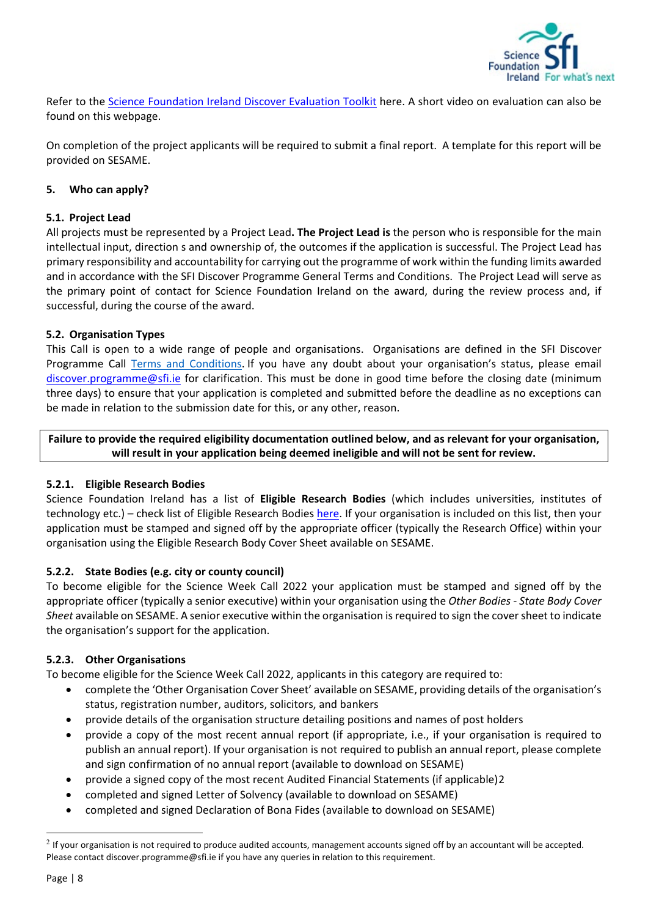

Refer to the [Science Foundation Ireland Discover Evaluation Toolkit](https://www.sfi.ie/engagement/sfi-discover/guidance-and-evaluation/) here. A short video on evaluation can also be found on this webpage.

On completion of the project applicants will be required to submit a final report. A template for this report will be provided on SESAME.

## <span id="page-7-0"></span>**5. Who can apply?**

## <span id="page-7-1"></span>**5.1. Project Lead**

All projects must be represented by a Project Lead**. The Project Lead is** the person who is responsible for the main intellectual input, direction s and ownership of, the outcomes if the application is successful. The Project Lead has primary responsibility and accountability for carrying out the programme of work within the funding limits awarded and in accordance with the SFI Discover Programme General Terms and Conditions. The Project Lead will serve as the primary point of contact for Science Foundation Ireland on the award, during the review process and, if successful, during the course of the award.

## <span id="page-7-2"></span>**5.2. Organisation Types**

This Call is open to a wide range of people and organisations. Organisations are defined in the SFI Discover Programme Call [Terms and Conditions.](https://www.sfi.ie/funding/sfi-policies-and-guidance/sfi-general-terms-and-conditions/) If you have any doubt about your organisation's status, please email [discover.programme@sfi.ie](https://sciencefoundationireland-my.sharepoint.com/personal/rebecca_wilson_sfi_ie1/Documents/Science%20Week%20Call%202020/Draft%20One/Live%20Documents/discover.programme@sfi.ie) for clarification. This must be done in good time before the closing date (minimum three days) to ensure that your application is completed and submitted before the deadline as no exceptions can be made in relation to the submission date for this, or any other, reason.

**Failure to provide the required eligibility documentation outlined below, and as relevant for your organisation, will result in your application being deemed ineligible and will not be sent for review.** 

## <span id="page-7-3"></span>**5.2.1. Eligible Research Bodies**

Science Foundation Ireland has a list of **Eligible Research Bodies** (which includes universities, institutes of technology etc.) – check list of Eligible Research Bodies [here.](https://www.sfi.ie/funding/sfi-policies-and-guidance/eligibility-related-information/) If your organisation is included on this list, then your application must be stamped and signed off by the appropriate officer (typically the Research Office) within your organisation using the Eligible Research Body Cover Sheet available on SESAME.

## <span id="page-7-4"></span>**5.2.2. State Bodies (e.g. city or county council)**

To become eligible for the Science Week Call 2022 your application must be stamped and signed off by the appropriate officer (typically a senior executive) within your organisation using the *Other Bodies - State Body Cover Sheet* available on SESAME. A senior executive within the organisation is required to sign the cover sheet to indicate the organisation's support for the application.

## <span id="page-7-5"></span>**5.2.3. Other Organisations**

To become eligible for the Science Week Call 2022, applicants in this category are required to:

- complete the 'Other Organisation Cover Sheet' available on SESAME, providing details of the organisation's status, registration number, auditors, solicitors, and bankers
- provide details of the organisation structure detailing positions and names of post holders
- provide a copy of the most recent annual report (if appropriate, i.e., if your organisation is required to publish an annual report). If your organisation is not required to publish an annual report, please complete and sign confirmation of no annual report (available to download on SESAME)
- provide a signed copy of the most recent Audited Financial Statements (if applicable)[2](#page-7-6)
- completed and signed Letter of Solvency (available to download on SESAME)
- completed and signed Declaration of Bona Fides (available to download on SESAME)

<span id="page-7-6"></span> $2$  If your organisation is not required to produce audited accounts, management accounts signed off by an accountant will be accepted. Please contact discover.programme@sfi.ie if you have any queries in relation to this requirement.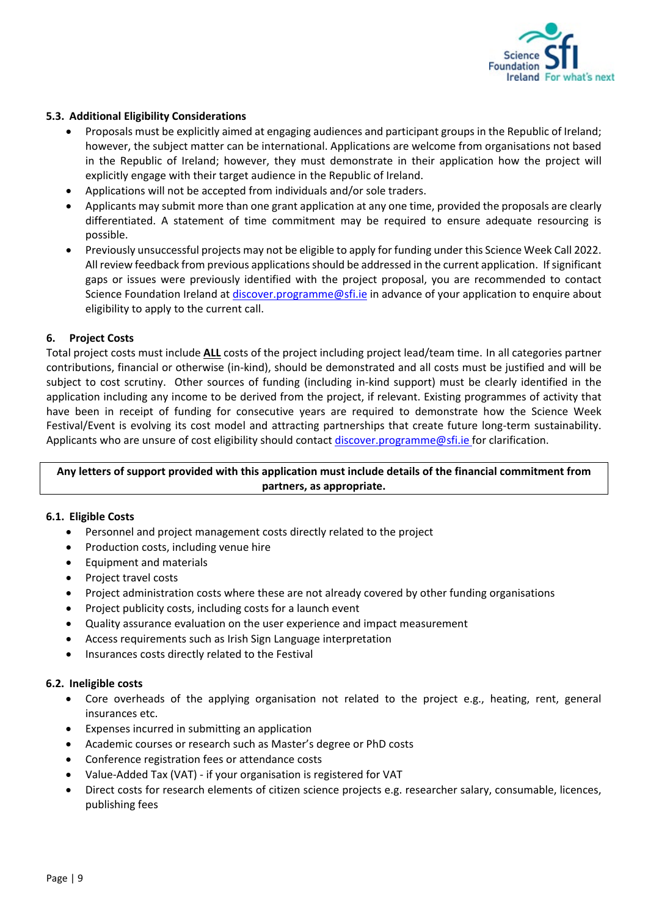

## <span id="page-8-0"></span>**5.3. Additional Eligibility Considerations**

- Proposals must be explicitly aimed at engaging audiences and participant groups in the Republic of Ireland; however, the subject matter can be international. Applications are welcome from organisations not based in the Republic of Ireland; however, they must demonstrate in their application how the project will explicitly engage with their target audience in the Republic of Ireland.
- Applications will not be accepted from individuals and/or sole traders.
- Applicants may submit more than one grant application at any one time, provided the proposals are clearly differentiated. A statement of time commitment may be required to ensure adequate resourcing is possible.
- Previously unsuccessful projects may not be eligible to apply for funding under this Science Week Call 2022. All review feedback from previous applications should be addressed in the current application. If significant gaps or issues were previously identified with the project proposal, you are recommended to contact Science Foundation Ireland at [discover.programme@sfi.ie](mailto:discover.programme@sfi.ie) in advance of your application to enquire about eligibility to apply to the current call.

#### <span id="page-8-1"></span>**6. Project Costs**

Total project costs must include **ALL** costs of the project including project lead/team time. In all categories partner contributions, financial or otherwise (in-kind), should be demonstrated and all costs must be justified and will be subject to cost scrutiny. Other sources of funding (including in-kind support) must be clearly identified in the application including any income to be derived from the project, if relevant. Existing programmes of activity that have been in receipt of funding for consecutive years are required to demonstrate how the Science Week Festival/Event is evolving its cost model and attracting partnerships that create future long-term sustainability. Applicants who are unsure of cost eligibility should contact [discover.programme@sfi.ie](mailto:discover.programme@sfi.ie) for clarification.

## **Any letters of support provided with this application must include details of the financial commitment from partners, as appropriate.**

## <span id="page-8-2"></span>**6.1. Eligible Costs**

- Personnel and project management costs directly related to the project
- Production costs, including venue hire
- Equipment and materials
- Project travel costs
- Project administration costs where these are not already covered by other funding organisations
- Project publicity costs, including costs for a launch event
- Quality assurance evaluation on the user experience and impact measurement
- Access requirements such as Irish Sign Language interpretation
- Insurances costs directly related to the Festival

## <span id="page-8-3"></span>**6.2. Ineligible costs**

- Core overheads of the applying organisation not related to the project e.g., heating, rent, general insurances etc.
- Expenses incurred in submitting an application
- Academic courses or research such as Master's degree or PhD costs
- Conference registration fees or attendance costs
- Value-Added Tax (VAT) if your organisation is registered for VAT
- Direct costs for research elements of citizen science projects e.g. researcher salary, consumable, licences, publishing fees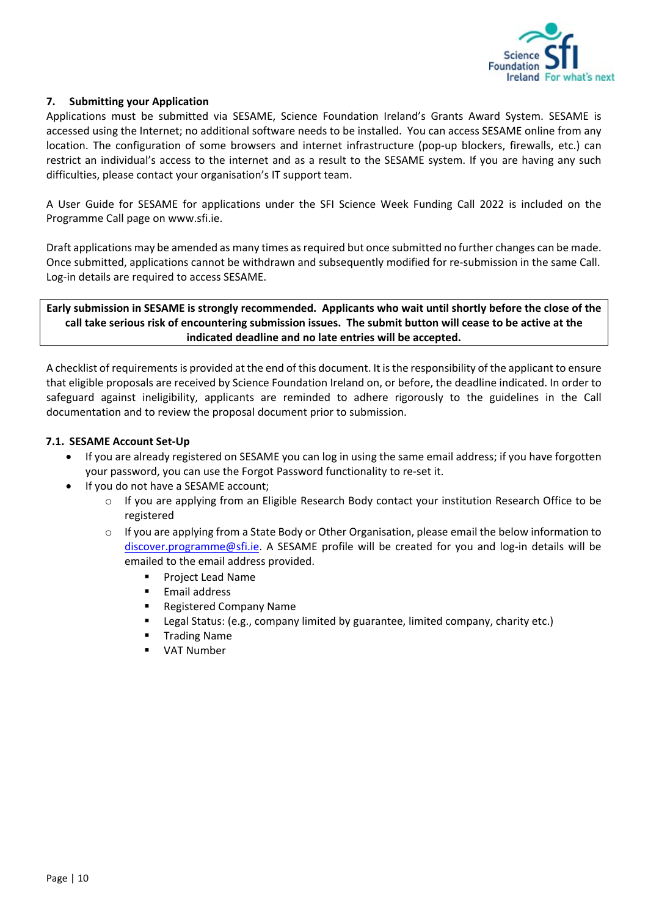

## <span id="page-9-0"></span>**7. Submitting your Application**

Applications must be submitted via SESAME, Science Foundation Ireland's Grants Award System. SESAME is accessed using the Internet; no additional software needs to be installed. You can access SESAME online from any location. The configuration of some browsers and internet infrastructure (pop-up blockers, firewalls, etc.) can restrict an individual's access to the internet and as a result to the SESAME system. If you are having any such difficulties, please contact your organisation's IT support team.

A User Guide for SESAME for applications under the SFI Science Week Funding Call 2022 is included on the Programme Call page on www.sfi.ie.

Draft applications may be amended as many times as required but once submitted no further changes can be made. Once submitted, applications cannot be withdrawn and subsequently modified for re-submission in the same Call. Log-in details are required to access SESAME.

**Early submission in SESAME is strongly recommended. Applicants who wait until shortly before the close of the call take serious risk of encountering submission issues. The submit button will cease to be active at the indicated deadline and no late entries will be accepted.**

A checklist of requirements is provided at the end of this document. It is the responsibility of the applicant to ensure that eligible proposals are received by Science Foundation Ireland on, or before, the deadline indicated. In order to safeguard against ineligibility, applicants are reminded to adhere rigorously to the guidelines in the Call documentation and to review the proposal document prior to submission.

## <span id="page-9-1"></span>**7.1. SESAME Account Set-Up**

- If you are already registered on SESAME you can log in using the same email address; if you have forgotten your password, you can use the Forgot Password functionality to re-set it.
- If you do not have a SESAME account;
	- o If you are applying from an Eligible Research Body contact your institution Research Office to be registered
	- $\circ$  If you are applying from a State Body or Other Organisation, please email the below information to [discover.programme@sfi.ie.](mailto:discover.programme@sfi.ie) A SESAME profile will be created for you and log-in details will be emailed to the email address provided.
		- **Project Lead Name**
		- **Email address**
		- Registered Company Name
		- Legal Status: (e.g., company limited by guarantee, limited company, charity etc.)
		- Trading Name
		- VAT Number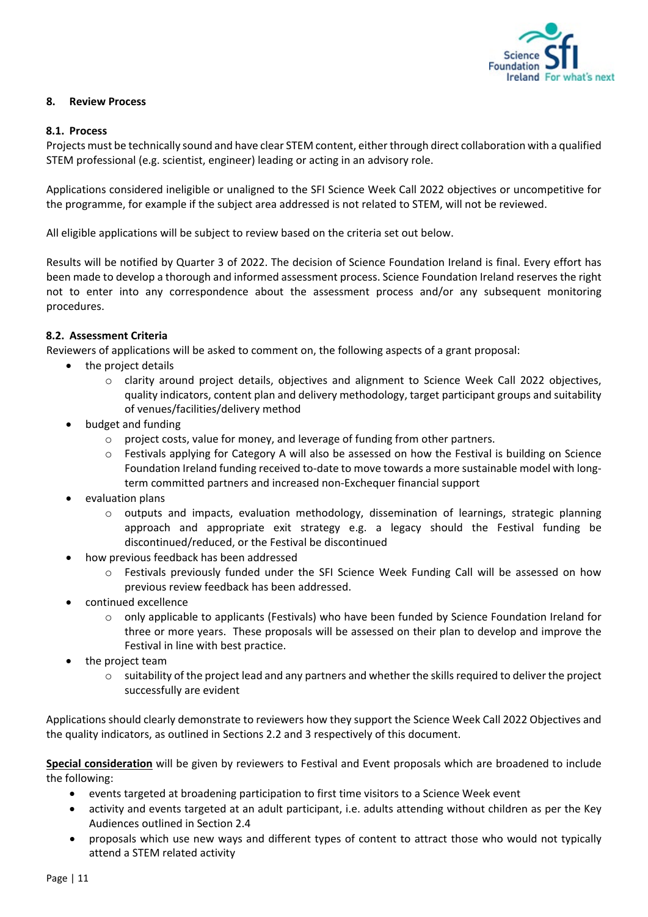

## <span id="page-10-0"></span>**8. Review Process**

## <span id="page-10-1"></span>**8.1. Process**

Projects must be technically sound and have clear STEM content, either through direct collaboration with a qualified STEM professional (e.g. scientist, engineer) leading or acting in an advisory role.

Applications considered ineligible or unaligned to the SFI Science Week Call 2022 objectives or uncompetitive for the programme, for example if the subject area addressed is not related to STEM, will not be reviewed.

All eligible applications will be subject to review based on the criteria set out below.

Results will be notified by Quarter 3 of 2022. The decision of Science Foundation Ireland is final. Every effort has been made to develop a thorough and informed assessment process. Science Foundation Ireland reserves the right not to enter into any correspondence about the assessment process and/or any subsequent monitoring procedures.

## <span id="page-10-2"></span>**8.2. Assessment Criteria**

Reviewers of applications will be asked to comment on, the following aspects of a grant proposal:

- the project details
	- o clarity around project details, objectives and alignment to Science Week Call 2022 objectives, quality indicators, content plan and delivery methodology, target participant groups and suitability of venues/facilities/delivery method
- budget and funding
	- $\circ$  project costs, value for money, and leverage of funding from other partners.
	- o Festivals applying for Category A will also be assessed on how the Festival is building on Science Foundation Ireland funding received to-date to move towards a more sustainable model with longterm committed partners and increased non-Exchequer financial support
- evaluation plans
	- $\circ$  outputs and impacts, evaluation methodology, dissemination of learnings, strategic planning approach and appropriate exit strategy e.g. a legacy should the Festival funding be discontinued/reduced, or the Festival be discontinued
- how previous feedback has been addressed
	- o Festivals previously funded under the SFI Science Week Funding Call will be assessed on how previous review feedback has been addressed.
- continued excellence
	- $\circ$  only applicable to applicants (Festivals) who have been funded by Science Foundation Ireland for three or more years. These proposals will be assessed on their plan to develop and improve the Festival in line with best practice.
- the project team
	- o suitability of the project lead and any partners and whether the skills required to deliver the project successfully are evident

Applications should clearly demonstrate to reviewers how they support the Science Week Call 2022 Objectives and the quality indicators, as outlined in Sections 2.2 and 3 respectively of this document.

**Special consideration** will be given by reviewers to Festival and Event proposals which are broadened to include the following:

- events targeted at broadening participation to first time visitors to a Science Week event
- activity and events targeted at an adult participant, i.e. adults attending without children as per the Key Audiences outlined in Section 2.4
- proposals which use new ways and different types of content to attract those who would not typically attend a STEM related activity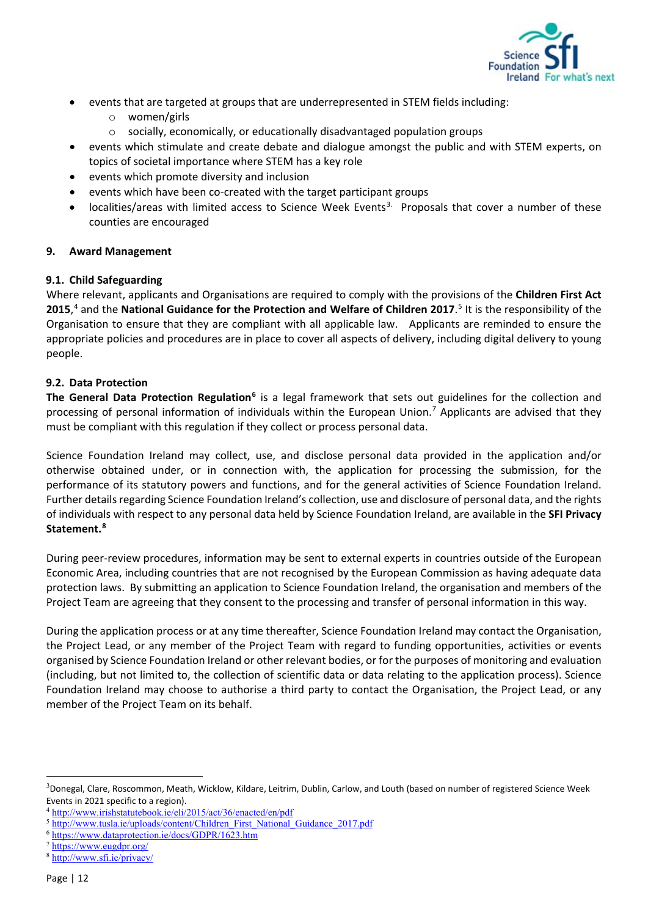

- events that are targeted at groups that are underrepresented in STEM fields including:
	- o women/girls
	- o socially, economically, or educationally disadvantaged population groups
- events which stimulate and create debate and dialogue amongst the public and with STEM experts, on topics of societal importance where STEM has a key role
- events which promote diversity and inclusion
- events which have been co-created with the target participant groups
- localities/areas with limited access to Science Week Events<sup>[3.](#page-11-3)</sup> Proposals that cover a number of these counties are encouraged

## <span id="page-11-0"></span>**9. Award Management**

## <span id="page-11-1"></span>**9.1. Child Safeguarding**

Where relevant, applicants and Organisations are required to comply with the provisions of the **Children First Act 2015**, [4](#page-11-4) and the **National Guidance for the Protection and Welfare of Children 2017**. [5](#page-11-5) It is the responsibility of the Organisation to ensure that they are compliant with all applicable law. Applicants are reminded to ensure the appropriate policies and procedures are in place to cover all aspects of delivery, including digital delivery to young people.

## <span id="page-11-2"></span>**9.2. Data Protection**

**The General Data Protection Regulation[6](#page-11-6)** is a legal framework that sets out guidelines for the collection and processing of personal information of individuals within the European Union.<sup>[7](#page-11-7)</sup> Applicants are advised that they must be compliant with this regulation if they collect or process personal data.

Science Foundation Ireland may collect, use, and disclose personal data provided in the application and/or otherwise obtained under, or in connection with, the application for processing the submission, for the performance of its statutory powers and functions, and for the general activities of Science Foundation Ireland. Further details regarding Science Foundation Ireland's collection, use and disclosure of personal data, and the rights of individuals with respect to any personal data held by Science Foundation Ireland, are available in the **SFI Privacy Statement.[8](#page-11-8)**

During peer-review procedures, information may be sent to external experts in countries outside of the European Economic Area, including countries that are not recognised by the European Commission as having adequate data protection laws. By submitting an application to Science Foundation Ireland, the organisation and members of the Project Team are agreeing that they consent to the processing and transfer of personal information in this way.

During the application process or at any time thereafter, Science Foundation Ireland may contact the Organisation, the Project Lead, or any member of the Project Team with regard to funding opportunities, activities or events organised by Science Foundation Ireland or other relevant bodies, or for the purposes of monitoring and evaluation (including, but not limited to, the collection of scientific data or data relating to the application process). Science Foundation Ireland may choose to authorise a third party to contact the Organisation, the Project Lead, or any member of the Project Team on its behalf.

<span id="page-11-3"></span><sup>3</sup> Donegal, Clare, Roscommon, Meath, Wicklow, Kildare, Leitrim, Dublin, Carlow, and Louth (based on number of registered Science Week Events in 2021 specific to a region).

<span id="page-11-4"></span><sup>4</sup> <http://www.irishstatutebook.ie/eli/2015/act/36/enacted/en/pdf>

<span id="page-11-5"></span><sup>&</sup>lt;sup>5</sup> [http://www.tusla.ie/uploads/content/Children\\_First\\_National\\_Guidance\\_2017.pdf](http://www.tusla.ie/uploads/content/Children_First_National_Guidance_2017.pdf)

<span id="page-11-6"></span><sup>6</sup> <https://www.dataprotection.ie/docs/GDPR/1623.htm>

<span id="page-11-7"></span><sup>7</sup> <https://www.eugdpr.org/>

<span id="page-11-8"></span><sup>8</sup> <http://www.sfi.ie/privacy/>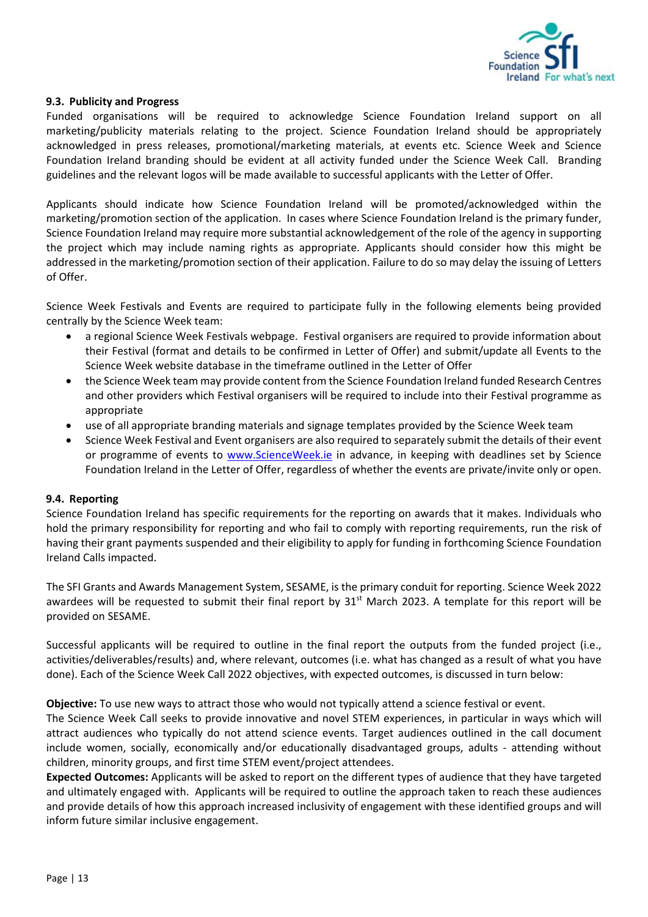

#### <span id="page-12-0"></span>**9.3. Publicity and Progress**

Funded organisations will be required to acknowledge Science Foundation Ireland support on all marketing/publicity materials relating to the project. Science Foundation Ireland should be appropriately acknowledged in press releases, promotional/marketing materials, at events etc. Science Week and Science Foundation Ireland branding should be evident at all activity funded under the Science Week Call. Branding guidelines and the relevant logos will be made available to successful applicants with the Letter of Offer.

Applicants should indicate how Science Foundation Ireland will be promoted/acknowledged within the marketing/promotion section of the application. In cases where Science Foundation Ireland is the primary funder, Science Foundation Ireland may require more substantial acknowledgement of the role of the agency in supporting the project which may include naming rights as appropriate. Applicants should consider how this might be addressed in the marketing/promotion section of their application. Failure to do so may delay the issuing of Letters of Offer.

Science Week Festivals and Events are required to participate fully in the following elements being provided centrally by the Science Week team:

- a regional Science Week Festivals webpage. Festival organisers are required to provide information about their Festival (format and details to be confirmed in Letter of Offer) and submit/update all Events to the Science Week website database in the timeframe outlined in the Letter of Offer
- the Science Week team may provide content from the Science Foundation Ireland funded Research Centres and other providers which Festival organisers will be required to include into their Festival programme as appropriate
- use of all appropriate branding materials and signage templates provided by the Science Week team
- Science Week Festival and Event organisers are also required to separately submit the details of their event or programme of events to [www.ScienceWeek.ie](http://www.scienceweek.ie/) in advance, in keeping with deadlines set by Science Foundation Ireland in the Letter of Offer, regardless of whether the events are private/invite only or open.

#### <span id="page-12-1"></span>**9.4. Reporting**

Science Foundation Ireland has specific requirements for the reporting on awards that it makes. Individuals who hold the primary responsibility for reporting and who fail to comply with reporting requirements, run the risk of having their grant payments suspended and their eligibility to apply for funding in forthcoming Science Foundation Ireland Calls impacted.

The SFI Grants and Awards Management System, SESAME, is the primary conduit for reporting. Science Week 2022 awardees will be requested to submit their final report by  $31<sup>st</sup>$  March 2023. A template for this report will be provided on SESAME.

Successful applicants will be required to outline in the final report the outputs from the funded project (i.e., activities/deliverables/results) and, where relevant, outcomes (i.e. what has changed as a result of what you have done). Each of the Science Week Call 2022 objectives, with expected outcomes, is discussed in turn below:

**Objective:** To use new ways to attract those who would not typically attend a science festival or event.

The Science Week Call seeks to provide innovative and novel STEM experiences, in particular in ways which will attract audiences who typically do not attend science events. Target audiences outlined in the call document include women, socially, economically and/or educationally disadvantaged groups, adults - attending without children, minority groups, and first time STEM event/project attendees.

**Expected Outcomes:** Applicants will be asked to report on the different types of audience that they have targeted and ultimately engaged with. Applicants will be required to outline the approach taken to reach these audiences and provide details of how this approach increased inclusivity of engagement with these identified groups and will inform future similar inclusive engagement.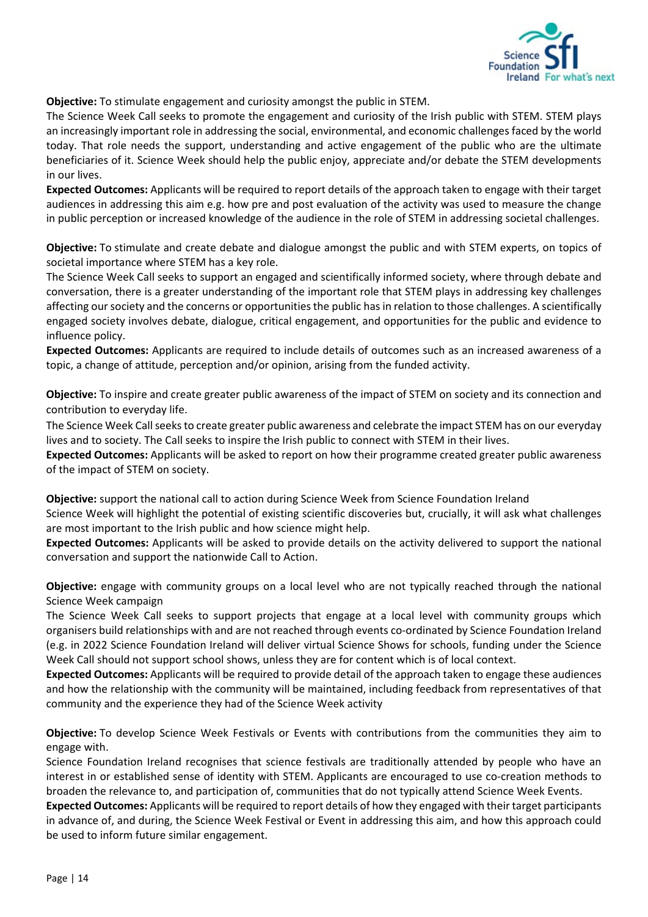

**Objective:** To stimulate engagement and curiosity amongst the public in STEM.

The Science Week Call seeks to promote the engagement and curiosity of the Irish public with STEM. STEM plays an increasingly important role in addressing the social, environmental, and economic challenges faced by the world today. That role needs the support, understanding and active engagement of the public who are the ultimate beneficiaries of it. Science Week should help the public enjoy, appreciate and/or debate the STEM developments in our lives.

**Expected Outcomes:** Applicants will be required to report details of the approach taken to engage with their target audiences in addressing this aim e.g. how pre and post evaluation of the activity was used to measure the change in public perception or increased knowledge of the audience in the role of STEM in addressing societal challenges.

**Objective:** To stimulate and create debate and dialogue amongst the public and with STEM experts, on topics of societal importance where STEM has a key role.

The Science Week Call seeks to support an engaged and scientifically informed society, where through debate and conversation, there is a greater understanding of the important role that STEM plays in addressing key challenges affecting our society and the concerns or opportunities the public has in relation to those challenges. A scientifically engaged society involves debate, dialogue, critical engagement, and opportunities for the public and evidence to influence policy.

**Expected Outcomes:** Applicants are required to include details of outcomes such as an increased awareness of a topic, a change of attitude, perception and/or opinion, arising from the funded activity.

**Objective:** To inspire and create greater public awareness of the impact of STEM on society and its connection and contribution to everyday life.

The Science Week Call seeks to create greater public awareness and celebrate the impact STEM has on our everyday lives and to society. The Call seeks to inspire the Irish public to connect with STEM in their lives.

**Expected Outcomes:** Applicants will be asked to report on how their programme created greater public awareness of the impact of STEM on society.

**Objective:** support the national call to action during Science Week from Science Foundation Ireland Science Week will highlight the potential of existing scientific discoveries but, crucially, it will ask what challenges are most important to the Irish public and how science might help.

**Expected Outcomes:** Applicants will be asked to provide details on the activity delivered to support the national conversation and support the nationwide Call to Action.

**Objective:** engage with community groups on a local level who are not typically reached through the national Science Week campaign

The Science Week Call seeks to support projects that engage at a local level with community groups which organisers build relationships with and are not reached through events co-ordinated by Science Foundation Ireland (e.g. in 2022 Science Foundation Ireland will deliver virtual Science Shows for schools, funding under the Science Week Call should not support school shows, unless they are for content which is of local context.

**Expected Outcomes:** Applicants will be required to provide detail of the approach taken to engage these audiences and how the relationship with the community will be maintained, including feedback from representatives of that community and the experience they had of the Science Week activity

**Objective:** To develop Science Week Festivals or Events with contributions from the communities they aim to engage with.

Science Foundation Ireland recognises that science festivals are traditionally attended by people who have an interest in or established sense of identity with STEM. Applicants are encouraged to use co-creation methods to broaden the relevance to, and participation of, communities that do not typically attend Science Week Events.

**Expected Outcomes:** Applicants will be required to report details of how they engaged with their target participants in advance of, and during, the Science Week Festival or Event in addressing this aim, and how this approach could be used to inform future similar engagement.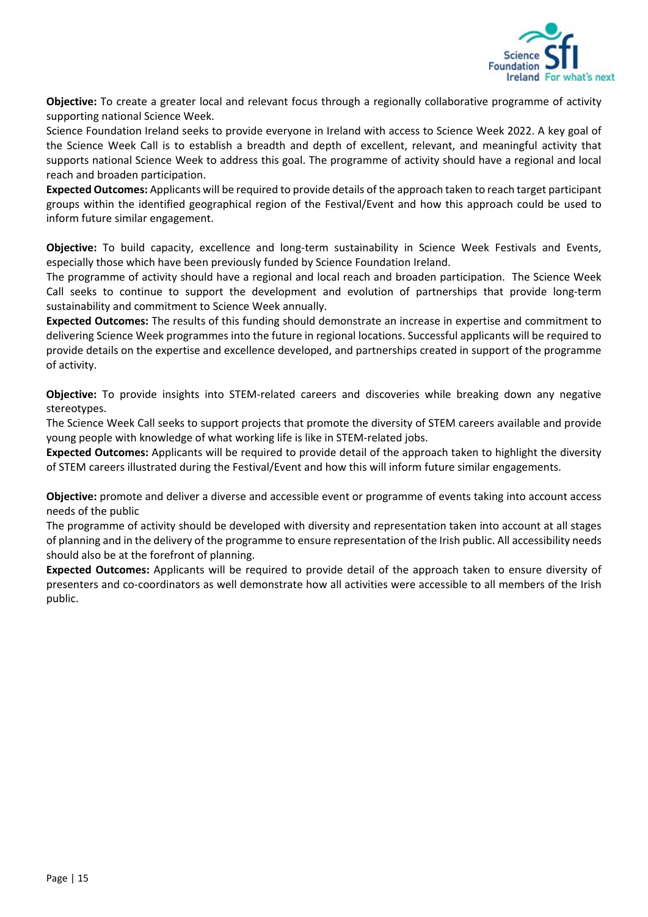

**Objective:** To create a greater local and relevant focus through a regionally collaborative programme of activity supporting national Science Week.

Science Foundation Ireland seeks to provide everyone in Ireland with access to Science Week 2022. A key goal of the Science Week Call is to establish a breadth and depth of excellent, relevant, and meaningful activity that supports national Science Week to address this goal. The programme of activity should have a regional and local reach and broaden participation.

**Expected Outcomes:** Applicants will be required to provide details of the approach taken to reach target participant groups within the identified geographical region of the Festival/Event and how this approach could be used to inform future similar engagement.

**Objective:** To build capacity, excellence and long-term sustainability in Science Week Festivals and Events, especially those which have been previously funded by Science Foundation Ireland.

The programme of activity should have a regional and local reach and broaden participation. The Science Week Call seeks to continue to support the development and evolution of partnerships that provide long-term sustainability and commitment to Science Week annually.

**Expected Outcomes:** The results of this funding should demonstrate an increase in expertise and commitment to delivering Science Week programmes into the future in regional locations. Successful applicants will be required to provide details on the expertise and excellence developed, and partnerships created in support of the programme of activity.

**Objective:** To provide insights into STEM-related careers and discoveries while breaking down any negative stereotypes.

The Science Week Call seeks to support projects that promote the diversity of STEM careers available and provide young people with knowledge of what working life is like in STEM-related jobs.

**Expected Outcomes:** Applicants will be required to provide detail of the approach taken to highlight the diversity of STEM careers illustrated during the Festival/Event and how this will inform future similar engagements.

**Objective:** promote and deliver a diverse and accessible event or programme of events taking into account access needs of the public

The programme of activity should be developed with diversity and representation taken into account at all stages of planning and in the delivery of the programme to ensure representation of the Irish public. All accessibility needs should also be at the forefront of planning.

**Expected Outcomes:** Applicants will be required to provide detail of the approach taken to ensure diversity of presenters and co-coordinators as well demonstrate how all activities were accessible to all members of the Irish public.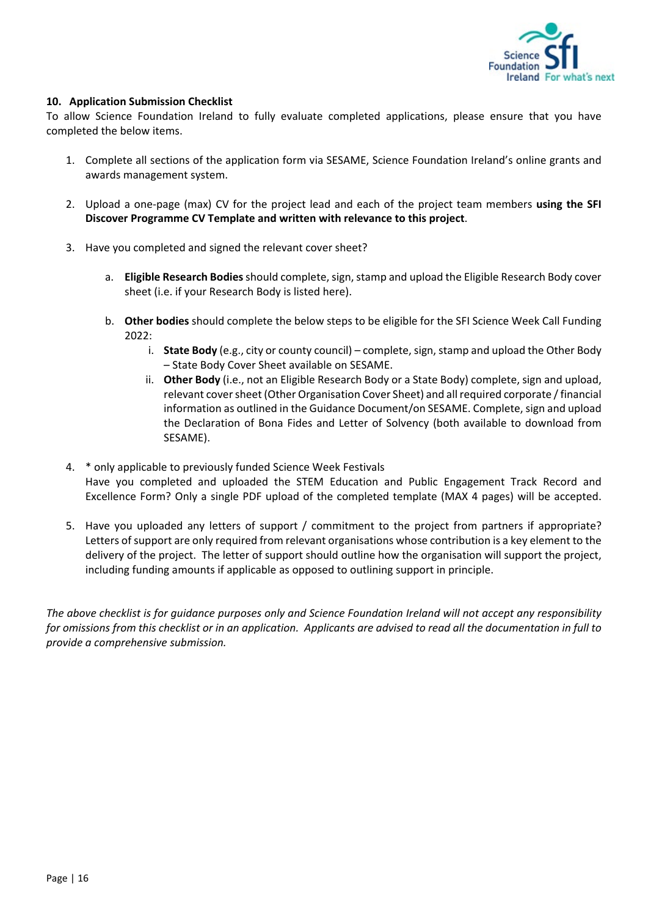

## <span id="page-15-0"></span>**10. Application Submission Checklist**

To allow Science Foundation Ireland to fully evaluate completed applications, please ensure that you have completed the below items.

- 1. Complete all sections of the application form via SESAME, Science Foundation Ireland's online grants and awards management system.
- 2. Upload a one-page (max) CV for the project lead and each of the project team members **using the SFI Discover Programme CV Template and written with relevance to this project**.
- 3. Have you completed and signed the relevant cover sheet?
	- a. **Eligible Research Bodies**should complete, sign, stamp and upload the Eligible Research Body cover sheet (i.e. if your Research Body is listed here).
	- b. **Other bodies** should complete the below steps to be eligible for the SFI Science Week Call Funding 2022:
		- i. **State Body** (e.g., city or county council) complete, sign, stamp and upload the Other Body – State Body Cover Sheet available on SESAME.
		- ii. **Other Body** (i.e., not an Eligible Research Body or a State Body) complete, sign and upload, relevant cover sheet (Other Organisation Cover Sheet) and all required corporate / financial information as outlined in the Guidance Document/on SESAME. Complete, sign and upload the Declaration of Bona Fides and Letter of Solvency (both available to download from SESAME).
- 4. \* only applicable to previously funded Science Week Festivals Have you completed and uploaded the STEM Education and Public Engagement Track Record and Excellence Form? Only a single PDF upload of the completed template (MAX 4 pages) will be accepted.
- 5. Have you uploaded any letters of support / commitment to the project from partners if appropriate? Letters of support are only required from relevant organisations whose contribution is a key element to the delivery of the project. The letter of support should outline how the organisation will support the project, including funding amounts if applicable as opposed to outlining support in principle.

*The above checklist is for guidance purposes only and Science Foundation Ireland will not accept any responsibility for omissions from this checklist or in an application. Applicants are advised to read all the documentation in full to provide a comprehensive submission.*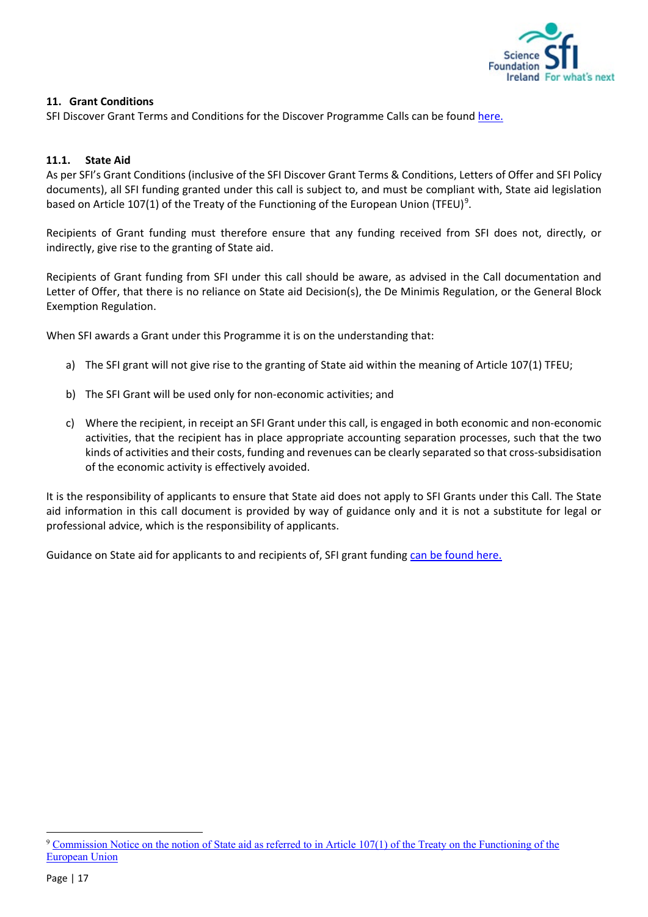

## <span id="page-16-0"></span>**11. Grant Conditions**

SFI Discover Grant Terms and Conditions for the Discover Programme Calls can be found [here.](https://www.sfi.ie/funding/sfi-policies-and-guidance/sfi-general-terms-and-conditions/SFI-Discover-Programme-Grant-TCs-October-2018-Final.pdf)

## <span id="page-16-1"></span>**11.1. State Aid**

As per SFI's Grant Conditions (inclusive of the SFI Discover Grant Terms & Conditions, Letters of Offer and SFI Policy documents), all SFI funding granted under this call is subject to, and must be compliant with, State aid legislation based on Article 107(1) of the Treaty of the Functioning of the European Union (TFEU)<sup>[9](#page-16-2)</sup>.

Recipients of Grant funding must therefore ensure that any funding received from SFI does not, directly, or indirectly, give rise to the granting of State aid.

Recipients of Grant funding from SFI under this call should be aware, as advised in the Call documentation and Letter of Offer, that there is no reliance on State aid Decision(s), the De Minimis Regulation, or the General Block Exemption Regulation.

When SFI awards a Grant under this Programme it is on the understanding that:

- a) The SFI grant will not give rise to the granting of State aid within the meaning of Article 107(1) TFEU;
- b) The SFI Grant will be used only for non-economic activities; and
- c) Where the recipient, in receipt an SFI Grant under this call, is engaged in both economic and non-economic activities, that the recipient has in place appropriate accounting separation processes, such that the two kinds of activities and their costs, funding and revenues can be clearly separated so that cross-subsidisation of the economic activity is effectively avoided.

It is the responsibility of applicants to ensure that State aid does not apply to SFI Grants under this Call. The State aid information in this call document is provided by way of guidance only and it is not a substitute for legal or professional advice, which is the responsibility of applicants.

Guidance on State aid for applicants to and recipients of, SFI grant funding [can be found here.](https://www.sfi.ie/funding/sfi-policies-and-guidance/state-aid/)

<span id="page-16-2"></span><sup>9</sup> [Commission Notice on the notion of State aid as referred to in Article 107\(1\) of the Treaty on the Functioning of the](https://eur-lex.europa.eu/legal-content/EN/TXT/PDF/?uri=CELEX:52016XC0719(05)&from=EN)  [European Union](https://eur-lex.europa.eu/legal-content/EN/TXT/PDF/?uri=CELEX:52016XC0719(05)&from=EN)